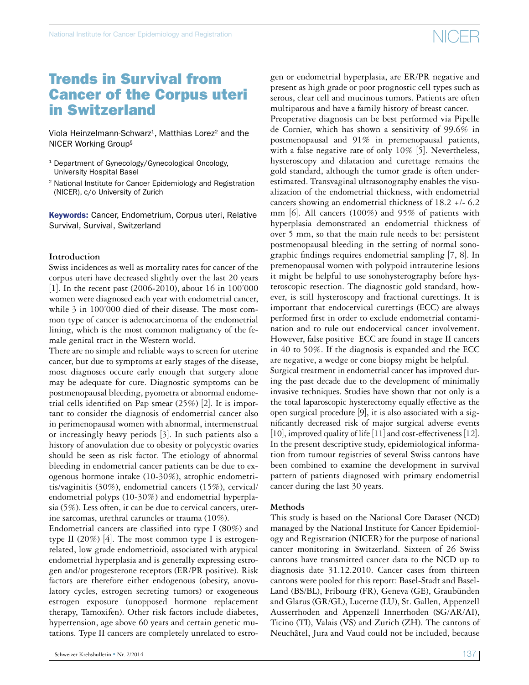### Trends in Survival from Cancer of the Corpus uteri in Switzerland

Viola Heinzelmann-Schwarz<sup>1</sup>, Matthias Lorez<sup>2</sup> and the NICER Working Group§

- <sup>1</sup> Department of Gynecology/Gynecological Oncology, University Hospital Basel
- <sup>2</sup> National Institute for Cancer Epidemiology and Registration (NICER), c/o University of Zurich

Keywords: Cancer, Endometrium, Corpus uteri, Relative Survival, Survival, Switzerland

#### **Introduction**

Swiss incidences as well as mortality rates for cancer of the corpus uteri have decreased slightly over the last 20 years [1]. In the recent past (2006-2010), about 16 in 100'000 women were diagnosed each year with endometrial cancer, while 3 in 100'000 died of their disease. The most common type of cancer is adenocarcinoma of the endometrial lining, which is the most common malignancy of the female genital tract in the Western world.

There are no simple and reliable ways to screen for uterine cancer, but due to symptoms at early stages of the disease, most diagnoses occure early enough that surgery alone may be adequate for cure. Diagnostic symptoms can be postmenopausal bleeding, pyometra or abnormal endometrial cells identified on Pap smear (25%) [2]. It is important to consider the diagnosis of endometrial cancer also in perimenopausal women with abnormal, intermenstrual or increasingly heavy periods [3]. In such patients also a history of anovulation due to obesity or polycystic ovaries should be seen as risk factor. The etiology of abnormal bleeding in endometrial cancer patients can be due to exogenous hormone intake (10-30%), atrophic endometritis/vaginitis (30%), endometrial cancers (15%), cervical/ endometrial polyps (10-30%) and endometrial hyperplasia (5%). Less often, it can be due to cervical cancers, uterine sarcomas, urethral caruncles or trauma (10%).

Endometrial cancers are classified into type I (80%) and type II (20%) [4]. The most common type I is estrogenrelated, low grade endometrioid, associated with atypical endometrial hyperplasia and is generally expressing estrogen and/or progesterone receptors (ER/PR positive). Risk factors are therefore either endogenous (obesity, anovulatory cycles, estrogen secreting tumors) or exogeneous estrogen exposure (unopposed hormone replacement therapy, Tamoxifen). Other risk factors include diabetes, hypertension, age above 60 years and certain genetic mutations. Type II cancers are completely unrelated to estrogen or endometrial hyperplasia, are ER/PR negative and present as high grade or poor prognostic cell types such as serous, clear cell and mucinous tumors. Patients are often multiparous and have a family history of breast cancer.

Preoperative diagnosis can be best performed via Pipelle de Cornier, which has shown a sensitivity of 99.6% in postmenopausal and 91% in premenopausal patients, with a false negative rate of only 10% [5]. Nevertheless, hysteroscopy and dilatation and curettage remains the gold standard, although the tumor grade is often underestimated. Transvaginal ultrasonography enables the visualization of the endometrial thickness, with endometrial cancers showing an endometrial thickness of 18.2 +/- 6.2 mm [6]. All cancers (100%) and 95% of patients with hyperplasia demonstrated an endometrial thickness of over 5 mm, so that the main rule needs to be: persistent postmenopausal bleeding in the setting of normal sonographic findings requires endometrial sampling [7, 8]. In premenopausal women with polypoid intrauterine lesions it might be helpful to use sonohysterography before hysteroscopic resection. The diagnostic gold standard, however, is still hysteroscopy and fractional curettings. It is important that endocervical curettings (ECC) are always performed first in order to exclude endometrial contamination and to rule out endocervical cancer involvement. However, false positive ECC are found in stage II cancers in 40 to 50%. If the diagnosis is expanded and the ECC are negative, a wedge or cone biopsy might be helpful.

Surgical treatment in endometrial cancer has improved during the past decade due to the development of minimally invasive techniques. Studies have shown that not only is a the total laparoscopic hysterectomy equally effective as the open surgical procedure [9], it is also associated with a significantly decreased risk of major surgical adverse events [10], improved quality of life [11] and cost-effectiveness [12]. In the present descriptive study, epidemiological information from tumour registries of several Swiss cantons have been combined to examine the development in survival pattern of patients diagnosed with primary endometrial cancer during the last 30 years.

#### **Methods**

This study is based on the National Core Dataset (NCD) managed by the National Institute for Cancer Epidemiology and Registration (NICER) for the purpose of national cancer monitoring in Switzerland. Sixteen of 26 Swiss cantons have transmitted cancer data to the NCD up to diagnosis date 31.12.2010. Cancer cases from thirteen cantons were pooled for this report: Basel-Stadt and Basel-Land (BS/BL), Fribourg (FR), Geneva (GE), Graubünden and Glarus (GR/GL), Lucerne (LU), St. Gallen, Appenzell Ausserrhoden and Appenzell Innerrhoden (SG/AR/AI), Ticino (TI), Valais (VS) and Zurich (ZH). The cantons of Neuchâtel, Jura and Vaud could not be included, because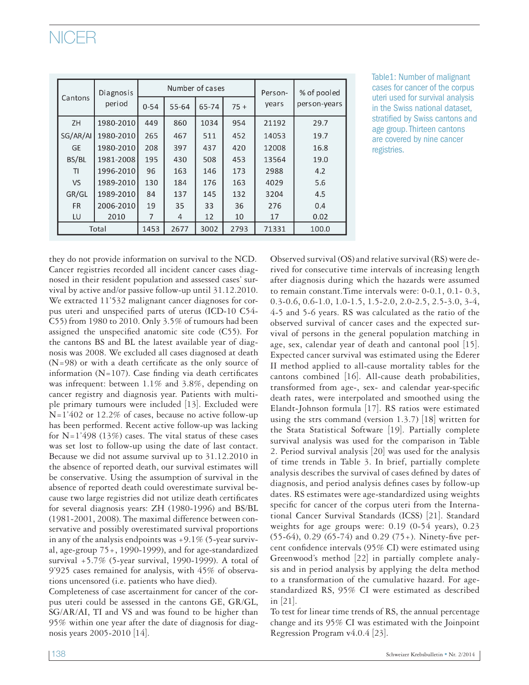| Cantons   | Diagnosis<br>period |          | Number of cases |       | Person- | % of pooled |              |
|-----------|---------------------|----------|-----------------|-------|---------|-------------|--------------|
|           |                     | $0 - 54$ | 55-64           | 65-74 | $75+$   | years       | person-years |
| <b>ZH</b> | 1980-2010           | 449      | 860             | 1034  | 954     | 21192       | 29.7         |
| SG/AR/AI  | 1980-2010           | 265      | 467             | 511   | 452     | 14053       | 19.7         |
| <b>GE</b> | 1980-2010           | 208      | 397             | 437   | 420     | 12008       | 16.8         |
| BS/BL     | 1981-2008           | 195      | 430             | 508   | 453     | 13564       | 19.0         |
| TI        | 1996-2010           | 96       | 163             | 146   | 173     | 2988        | 4.2          |
| <b>VS</b> | 1989-2010           | 130      | 184             | 176   | 163     | 4029        | 5.6          |
| GR/GL     | 1989-2010           | 84       | 137             | 145   | 132     | 3204        | 4.5          |
| <b>FR</b> | 2006-2010           | 19       | 35              | 33    | 36      | 276         | 0.4          |
| LU        | 2010                | 7        | 4               | 12    | 10      | 17          | 0.02         |
| Total     |                     | 1453     | 2677            | 3002  | 2793    | 71331       | 100.0        |

Table1: Number of malignant cases for cancer of the corpus uteri used for survival analysis in the Swiss national dataset, stratified by Swiss cantons and age group. Thirteen cantons are covered by nine cancer registries.

they do not provide information on survival to the NCD. Cancer registries recorded all incident cancer cases diagnosed in their resident population and assessed cases' survival by active and/or passive follow-up until 31.12.2010. We extracted 11'532 malignant cancer diagnoses for corpus uteri and unspecified parts of uterus (ICD-10 C54- C55) from 1980 to 2010. Only 3.5% of tumours had been assigned the unspecified anatomic site code (C55). For the cantons BS and BL the latest available year of diagnosis was 2008. We excluded all cases diagnosed at death (N=98) or with a death certificate as the only source of information ( $N=107$ ). Case finding via death certificates was infrequent: between 1.1% and 3.8%, depending on cancer registry and diagnosis year. Patients with multiple primary tumours were included [13]. Excluded were N=1'402 or 12.2% of cases, because no active follow-up has been performed. Recent active follow-up was lacking for  $N=1'498$  (13%) cases. The vital status of these cases was set lost to follow-up using the date of last contact. Because we did not assume survival up to 31.12.2010 in the absence of reported death, our survival estimates will be conservative. Using the assumption of survival in the absence of reported death could overestimate survival because two large registries did not utilize death certificates for several diagnosis years: ZH (1980-1996) and BS/BL (1981-2001, 2008). The maximal difference between conservative and possibly overestimated survival proportions in any of the analysis endpoints was  $+9.1\%$  (5-year survival, age-group 75+, 1990-1999), and for age-standardized survival +5.7% (5-year survival, 1990-1999). A total of 9'925 cases remained for analysis, with 45% of observations uncensored (i.e. patients who have died).

Completeness of case ascertainment for cancer of the corpus uteri could be assessed in the cantons GE, GR/GL, SG/AR/AI, TI and VS and was found to be higher than 95% within one year after the date of diagnosis for diagnosis years 2005-2010 [14].

Observed survival (OS) and relative survival (RS) were derived for consecutive time intervals of increasing length after diagnosis during which the hazards were assumed to remain constant.Time intervals were: 0-0.1, 0.1- 0.3, 0.3-0.6, 0.6-1.0, 1.0-1.5, 1.5-2.0, 2.0-2.5, 2.5-3.0, 3-4, 4-5 and 5-6 years. RS was calculated as the ratio of the observed survival of cancer cases and the expected survival of persons in the general population matching in age, sex, calendar year of death and cantonal pool [15]. Expected cancer survival was estimated using the Ederer II method applied to all-cause mortality tables for the cantons combined [16]. All-cause death probabilities, transformed from age-, sex- and calendar year-specific death rates, were interpolated and smoothed using the Elandt-Johnson formula [17]. RS ratios were estimated using the strs command (version 1.3.7) [18] written for the Stata Statistical Software [19]. Partially complete survival analysis was used for the comparison in Table 2. Period survival analysis [20] was used for the analysis of time trends in Table 3. In brief, partially complete analysis describes the survival of cases defined by dates of diagnosis, and period analysis defines cases by follow-up dates. RS estimates were age-standardized using weights specific for cancer of the corpus uteri from the International Cancer Survival Standards (ICSS) [21]. Standard weights for age groups were: 0.19 (0-54 years), 0.23 (55-64), 0.29 (65-74) and 0.29 (75+). Ninety-five percent confidence intervals (95% CI) were estimated using Greenwood's method [22] in partially complete analysis and in period analysis by applying the delta method to a transformation of the cumulative hazard. For agestandardized RS, 95% CI were estimated as described in [21].

To test for linear time trends of RS, the annual percentage change and its 95% CI was estimated with the Joinpoint Regression Program v4.0.4 [23].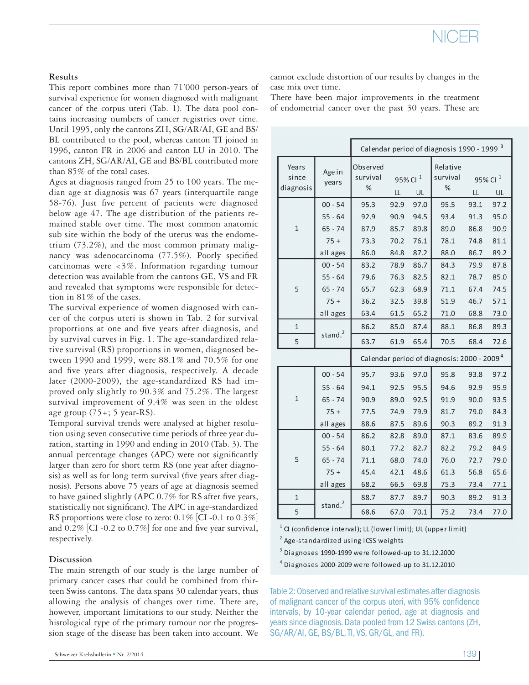#### **Results**

This report combines more than 71'000 person-years of survival experience for women diagnosed with malignant cancer of the corpus uteri (Tab. 1). The data pool contains increasing numbers of cancer registries over time. Until 1995, only the cantons ZH, SG/AR/AI, GE and BS/ BL contributed to the pool, whereas canton TI joined in 1996, canton FR in 2006 and canton LU in 2010. The cantons ZH, SG/AR/AI, GE and BS/BL contributed more than 85% of the total cases.

Ages at diagnosis ranged from 25 to 100 years. The median age at diagnosis was 67 years (interquartile range 58-76). Just five percent of patients were diagnosed below age 47. The age distribution of the patients remained stable over time. The most common anatomic sub site within the body of the uterus was the endometrium (73.2%), and the most common primary malignancy was adenocarcinoma (77.5%). Poorly specified carcinomas were <3%. Information regarding tumour detection was available from the cantons GE, VS and FR and revealed that symptoms were responsible for detection in 81% of the cases.

The survival experience of women diagnosed with cancer of the corpus uteri is shown in Tab. 2 for survival proportions at one and five years after diagnosis, and by survival curves in Fig. 1. The age-standardized relative survival (RS) proportions in women, diagnosed between 1990 and 1999, were 88.1% and 70.5% for one and five years after diagnosis, respectively. A decade later (2000-2009), the age-standardized RS had improved only slightly to 90.3% and 75.2%. The largest survival improvement of 9.4% was seen in the oldest age group  $(75+)$ ; 5 year-RS).

Temporal survival trends were analysed at higher resolution using seven consecutive time periods of three year duration, starting in 1990 and ending in 2010 (Tab. 3). The annual percentage changes (APC) were not significantly larger than zero for short term RS (one year after diagnosis) as well as for long term survival (five years after diagnosis). Persons above 75 years of age at diagnosis seemed to have gained slightly (APC 0.7% for RS after five years, statistically not significant). The APC in age-standardized RS proportions were close to zero:  $0.1\%$  [CI -0.1 to  $0.3\%$ ] and 0.2% [CI -0.2 to 0.7%] for one and five year survival, respectively.

#### **Discussion**

The main strength of our study is the large number of primary cancer cases that could be combined from thirteen Swiss cantons. The data spans 30 calendar years, thus allowing the analysis of changes over time. There are, however, important limitations to our study. Neither the histological type of the primary tumour nor the progression stage of the disease has been taken into account. We cannot exclude distortion of our results by changes in the case mix over time.

There have been major improvements in the treatment of endometrial cancer over the past 30 years. These are

|                             |                 | Calendar period of diagnosis 1990 - 1999 <sup>3</sup>  |                           |      |                           |                                 |      |  |
|-----------------------------|-----------------|--------------------------------------------------------|---------------------------|------|---------------------------|---------------------------------|------|--|
| Years<br>since<br>diagnosis | Age in<br>years | Observed<br>survival<br>%                              | 95% Cl <sup>1</sup><br>LL | UL   | Relative<br>survival<br>% | 95% Cl <sup>1</sup><br>LL<br>UL |      |  |
|                             | $00 - 54$       | 95.3                                                   | 92.9                      | 97.0 | 95.5                      | 93.1                            | 97.2 |  |
| $\mathbf 1$                 | $55 - 64$       | 92.9                                                   | 90.9                      | 94.5 | 93.4                      | 91.3                            | 95.0 |  |
|                             | 65 - 74         | 87.9                                                   | 85.7                      | 89.8 | 89.0                      | 86.8                            | 90.9 |  |
|                             | $75+$           | 73.3                                                   | 70.2                      | 76.1 | 78.1                      | 74.8                            | 81.1 |  |
|                             | all ages        | 86.0                                                   | 84.8                      | 87.2 | 88.0                      | 86.7                            | 89.2 |  |
|                             | $00 - 54$       | 83.2                                                   | 78.9                      | 86.7 | 84.3                      | 79.9                            | 87.8 |  |
|                             | $55 - 64$       | 79.6                                                   | 76.3                      | 82.5 | 82.1                      | 78.7                            | 85.0 |  |
| 5                           | $65 - 74$       | 65.7                                                   | 62.3                      | 68.9 | 71.1                      | 67.4                            | 74.5 |  |
|                             | $75+$           | 36.2                                                   | 32.5                      | 39.8 | 51.9                      | 46.7                            | 57.1 |  |
|                             | all ages        | 63.4                                                   | 61.5                      | 65.2 | 71.0                      | 68.8                            | 73.0 |  |
| $\mathbf{1}$                | stand. $2$      | 86.2                                                   | 85.0                      | 87.4 | 88.1                      | 86.8                            | 89.3 |  |
| 5                           |                 | 63.7                                                   | 61.9                      | 65.4 | 70.5                      | 68.4                            | 72.6 |  |
|                             |                 | Calendar period of diagnosis: 2000 - 2009 <sup>4</sup> |                           |      |                           |                                 |      |  |
|                             | $00 - 54$       | 95.7                                                   | 93.6                      | 97.0 | 95.8                      | 93.8                            | 97.2 |  |
|                             | 55 - 64         | 94.1                                                   | 92.5                      | 95.5 | 94.6                      | 92.9                            | 95.9 |  |
| $\mathbf 1$                 | $65 - 74$       | 90.9                                                   | 89.0                      | 92.5 | 91.9                      | 90.0                            | 93.5 |  |
|                             | $75+$           | 77.5                                                   | 74.9                      | 79.9 | 81.7                      | 79.0                            | 84.3 |  |
|                             | all ages        | 88.6                                                   | 87.5                      | 89.6 | 90.3                      | 89.2                            | 91.3 |  |
| 5                           | $00 - 54$       | 86.2                                                   | 82.8                      | 89.0 | 87.1                      | 83.6                            | 89.9 |  |
|                             | 55 - 64         | 80.1                                                   | 77.2                      | 82.7 | 82.2                      | 79.2                            | 84.9 |  |
|                             | $65 - 74$       | 71.1                                                   | 68.0                      | 74.0 | 76.0                      | 72.7                            | 79.0 |  |
|                             | $75+$           | 45.4                                                   | 42.1                      | 48.6 | 61.3                      | 56.8                            | 65.6 |  |
|                             | all ages        | 68.2                                                   | 66.5                      | 69.8 | 75.3                      | 73.4                            | 77.1 |  |
| $\mathbf{1}$                |                 | 88.7                                                   | 87.7                      | 89.7 | 90.3                      | 89.2                            | 91.3 |  |
| 5                           | stand. $2$      | 68.6                                                   | 67.0                      | 70.1 | 75.2                      | 73.4                            | 77.0 |  |

 $1$  CI (confidence interval); LL (lower limit); UL (upper limit)

<sup>2</sup> Age-standardized using ICSS weights

 $3$  Diagnoses 1990-1999 were followed-up to 31.12.2000

 $4$  Diagnoses 2000-2009 were followed-up to 31.12.2010

Table 2: Observed and relative survival estimates after diagnosis of malignant cancer of the corpus uteri, with 95% confidence intervals, by 10-year calendar period, age at diagnosis and years since diagnosis. Data pooled from 12 Swiss cantons (ZH, SG/AR/AI, GE, BS/BL, TI, VS, GR/GL, and FR).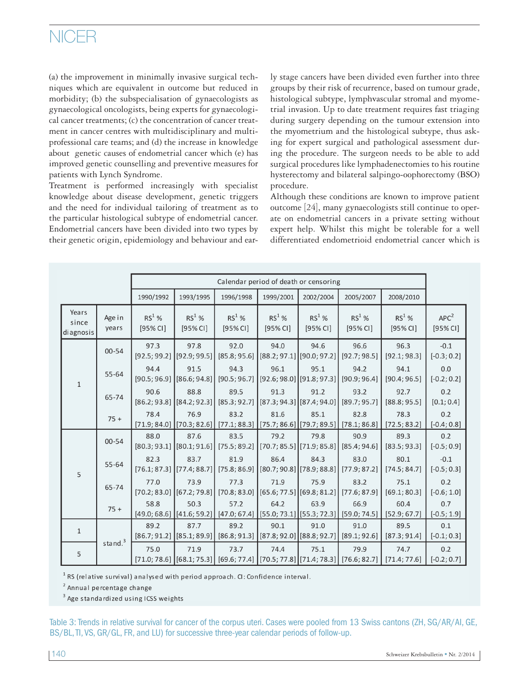(a) the improvement in minimally invasive surgical techniques which are equivalent in outcome but reduced in morbidity; (b) the subspecialisation of gynaecologists as gynaecological oncologists, being experts for gynaecological cancer treatments; (c) the concentration of cancer treatment in cancer centres with multidisciplinary and multiprofessional care teams; and (d) the increase in knowledge about genetic causes of endometrial cancer which (e) has improved genetic counselling and preventive measures for patients with Lynch Syndrome.

Treatment is performed increasingly with specialist knowledge about disease development, genetic triggers and the need for individual tailoring of treatment as to the particular histological subtype of endometrial cancer. Endometrial cancers have been divided into two types by their genetic origin, epidemiology and behaviour and early stage cancers have been divided even further into three groups by their risk of recurrence, based on tumour grade, histological subtype, lymphvascular stromal and myometrial invasion. Up to date treatment requires fast triaging during surgery depending on the tumour extension into the myometrium and the histological subtype, thus asking for expert surgical and pathological assessment during the procedure. The surgeon needs to be able to add surgical procedures like lymphadenectomies to his routine hysterectomy and bilateral salpingo-oophorectomy (BSO) procedure.

Although these conditions are known to improve patient outcome [24], many gynaecologists still continue to operate on endometrial cancers in a private setting without expert help. Whilst this might be tolerable for a well differentiated endometrioid endometrial cancer which is

|                             |                 | Calendar period of death or censoring |                                                    |                                                                                                      |                                                           |                                       |                                                   |                      |                              |
|-----------------------------|-----------------|---------------------------------------|----------------------------------------------------|------------------------------------------------------------------------------------------------------|-----------------------------------------------------------|---------------------------------------|---------------------------------------------------|----------------------|------------------------------|
|                             |                 | 1990/1992                             | 1993/1995                                          | 1996/1998                                                                                            | 1999/2001                                                 | 2002/2004                             | 2005/2007                                         | 2008/2010            |                              |
| Years<br>since<br>diagnosis | Age in<br>years | $RS^1$ %<br>[95% <sub>C</sub> 1]      | $RS1$ %<br>[95% CI]                                | $RS1$ %<br>[95% CI]                                                                                  | $RS^1$ %<br>[95% CI]                                      | $RS^1$ %<br>[95% CI]                  | $RS^1$ %<br>[95% CI]                              | $RS^1$ %<br>[95% CI] | APC <sup>2</sup><br>[95% CI] |
| $\mathbf{1}$                | 00-54           | 97.3<br>[92.5; 99.2]                  | 97.8<br>[92.9; 99.5]                               | 92.0<br>[85.8; 95.6]                                                                                 | 94.0<br>$[88.2; 97.1]$ [90.0; 97.2]                       | 94.6                                  | 96.6<br>[92.7; 98.5]                              | 96.3<br>[92.1; 98.3] | $-0.1$<br>$[-0.3; 0.2]$      |
|                             | 55-64           | 94.4<br>[90.5; 96.9]                  | 91.5<br>[86.6; 94.8]                               | 94.3<br>[90.5; 96.7]                                                                                 | 96.1                                                      | 95.1<br>$[92.6; 98.0]$ [91.8; 97.3]   | 94.2<br>[90.9; 96.4]                              | 94.1<br>[90.4; 96.5] | 0.0<br>$[-0.2; 0.2]$         |
|                             | 65-74           | 90.6<br>[86.2; 93.8]                  | 88.8<br>[84.2; 92.3]                               | 89.5<br>[85.3; 92.7]                                                                                 | 91.3                                                      | 91.2<br>$[87.3; 94.3]$ $[87.4; 94.0]$ | 93.2<br>[89.7; 95.7]                              | 92.7<br>[88.8; 95.5] | 0.2<br>[0.1; 0.4]            |
|                             | $75 +$          | 78.4<br>[71.9; 84.0]                  | 76.9<br>$\left[70.3; 82.6\right]$                  | 83.2<br>[77.1; 88.3]                                                                                 | 81.6                                                      | 85.1                                  | 82.8<br>$[75.7; 86.6]$ [79.7; 89.5]] [78.1; 86.8] | 78.3<br>[72.5; 83.2] | 0.2<br>$[-0.4; 0.8]$         |
| 5                           | $00 - 54$       | 88.0<br>[80.3; 93.1]                  | 87.6                                               | 83.5<br>$[80.1; 91.6]$ [75.5; 89.2]                                                                  | 79.2<br>$\left[70.7; 85.5\right] \left[71.9; 85.8\right]$ | 79.8                                  | 90.9<br>[85.4; 94.6]                              | 89.3<br>[83.5; 93.3] | 0.2<br>$[-0.5; 0.9]$         |
|                             | 55-64           | 82.3                                  | 83.7<br>$[76.1; 87.3]$ [77.4; 88.7]                | 81.9<br>$[75.8; 86.9]$ $[80.7; 90.8]$ $[78.9; 88.8]$                                                 | 86.4                                                      | 84.3                                  | 83.0<br>[77.9; 87.2]                              | 80.1<br>[74.5; 84.7] | $-0.1$<br>$[-0.5; 0.3]$      |
|                             | 65-74           | 77.0<br>[70.2; 83.0]                  | 73.9<br>$\left[ \left[ 67.2; 79.8 \right] \right]$ | 77.3<br>$[70.8; 83.0]$ $[65.6; 77.5]$ $[69.8; 81.2]$                                                 | 71.9                                                      | 75.9                                  | 83.2<br>[77.6; 87.9]                              | 75.1<br>[69.1; 80.3] | 0.2<br>$[-0.6; 1.0]$         |
|                             | $75 +$          | 58.8<br>[49.0; 68.6]                  | 50.3                                               | 57.2<br>$[(41.6, 59.2] \mid [47.0, 67.4] \mid [55.0, 73.1] \mid [55.3, 72.3] \mid [59.0, 74.5]$      | 64.2                                                      | 63.9                                  | 66.9                                              | 60.4<br>[52.9; 67.7] | 0.7<br>$[-0.5; 1.9]$         |
| $\mathbf{1}$                | stand. $3$      | 89.2<br>[86.7; 91.2]                  | 87.7                                               | 89.2<br>$[85.1; 89.9]$ [86.8; 91.3]                                                                  | 90.1<br>[87.8; 92.0][88.8; 92.7]                          | 91.0                                  | 91.0<br>[89.1; 92.6]                              | 89.5<br>[87.3; 91.4] | 0.1<br>$[-0.1; 0.3]$         |
| 5                           |                 | 75.0                                  | 71.9                                               | 73.7<br>$[71.0; 78.6]$ $[(68.1; 75.3]$ $[69.6; 77.4]$ $[(70.5; 77.8]$ $[(71.4; 78.3]$ $[76.6; 82.7]$ | 74.4                                                      | 75.1                                  | 79.9                                              | 74.7<br>[71.4; 77.6] | 0.2<br>$[-0.2; 0.7]$         |

 $1$  RS (relative survival) analysed with period approach. CI: Confidence interval.

<sup>2</sup> Annual percentage change

<sup>3</sup> Age standardized using ICSS weights

Table 3: Trends in relative survival for cancer of the corpus uteri. Cases were pooled from 13 Swiss cantons (ZH, SG/AR/AI, GE, BS/BL, TI, VS, GR/GL, FR, and LU) for successive three-year calendar periods of follow-up.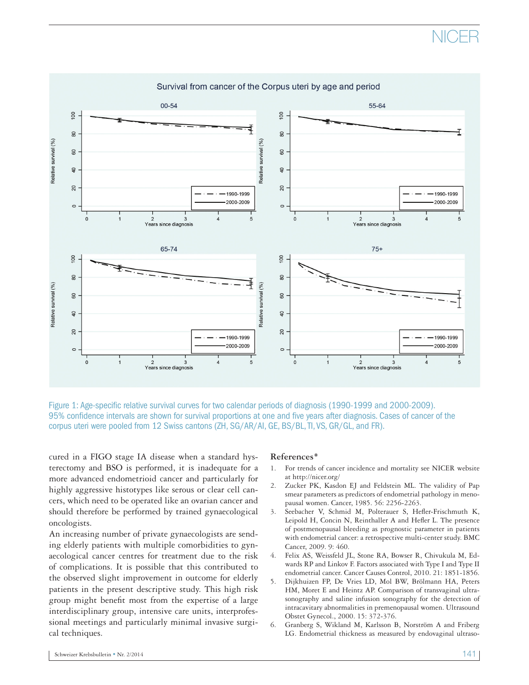

Figure 1: Age-specific relative survival curves for two calendar periods of diagnosis (1990-1999 and 2000-2009). 95% confidence intervals are shown for survival proportions at one and five years after diagnosis. Cases of cancer of the corpus uteri were pooled from 12 Swiss cantons (ZH, SG/AR/AI, GE, BS/BL, TI, VS, GR/GL, and FR).

cured in a FIGO stage IA disease when a standard hysterectomy and BSO is performed, it is inadequate for a more advanced endometrioid cancer and particularly for highly aggressive histotypes like serous or clear cell cancers, which need to be operated like an ovarian cancer and should therefore be performed by trained gynaecological oncologists.

An increasing number of private gynaecologists are sending elderly patients with multiple comorbidities to gynaecological cancer centres for treatment due to the risk of complications. It is possible that this contributed to the observed slight improvement in outcome for elderly patients in the present descriptive study. This high risk group might benefit most from the expertise of a large interdisciplinary group, intensive care units, interprofessional meetings and particularly minimal invasive surgical techniques.

#### **References\***

- 1. For trends of cancer incidence and mortality see NICER website at http://nicer.org/
- 2. Zucker PK, Kasdon EJ and Feldstein ML. The validity of Pap smear parameters as predictors of endometrial pathology in menopausal women. Cancer, 1985. 56: 2256-2263.
- 3. Seebacher V, Schmid M, Polterauer S, Hefler-Frischmuth K, Leipold H, Concin N, Reinthaller A and Hefler L. The presence of postmenopausal bleeding as prognostic parameter in patients with endometrial cancer: a retrospective multi-center study. BMC Cancer, 2009. 9: 460.
- 4. Felix AS, Weissfeld JL, Stone RA, Bowser R, Chivukula M, Edwards RP and Linkov F. Factors associated with Type I and Type II endometrial cancer. Cancer Causes Control, 2010. 21: 1851-1856.
- 5. Dijkhuizen FP, De Vries LD, Mol BW, Brölmann HA, Peters HM, Moret E and Heintz AP. Comparison of transvaginal ultrasonography and saline infusion sonography for the detection of intracavitary abnormalities in premenopausal women. Ultrasound Obstet Gynecol., 2000. 15: 372-376.
- 6. Granberg S, Wikland M, Karlsson B, Norström A and Friberg LG. Endometrial thickness as measured by endovaginal ultraso-